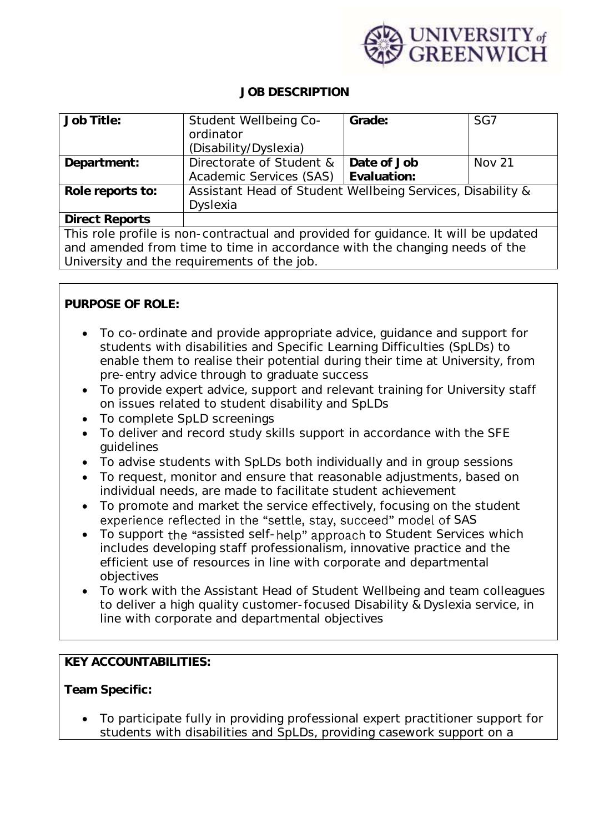

## **JOB DESCRIPTION**

| Job Title:                                                                         | Student Wellbeing Co-                                      | Grade:      | SG7           |
|------------------------------------------------------------------------------------|------------------------------------------------------------|-------------|---------------|
|                                                                                    | ordinator                                                  |             |               |
|                                                                                    | (Disability/Dyslexia)                                      |             |               |
| Department:                                                                        | Directorate of Student &                                   | Date of Job | <b>Nov 21</b> |
|                                                                                    | Academic Services (SAS)                                    | Evaluation: |               |
| Role reports to:                                                                   | Assistant Head of Student Wellbeing Services, Disability & |             |               |
|                                                                                    | Dyslexia                                                   |             |               |
| <b>Direct Reports</b>                                                              |                                                            |             |               |
| This role profile is non-contractual and provided for guidance. It will be updated |                                                            |             |               |
| and amended from time to time in accordance with the changing needs of the         |                                                            |             |               |
| University and the requirements of the job.                                        |                                                            |             |               |

**PURPOSE OF ROLE:**

- To co-ordinate and provide appropriate advice, guidance and support for students with disabilities and Specific Learning Difficulties (SpLDs) to enable them to realise their potential during their time at University, from pre-entry advice through to graduate success
- To provide expert advice, support and relevant training for University staff on issues related to student disability and SpLDs
- To complete SpLD screenings
- To deliver and record study skills support in accordance with the SFE guidelines
- To advise students with SpLDs both individually and in group sessions
- To request, monitor and ensure that reasonable adjustments, based on individual needs, are made to facilitate student achievement
- To promote and market the service effectively, focusing on the student experience reflected in the "settle, stay, succeed" model of SAS
- To support the "assisted self-help" approach to Student Services which includes developing staff professionalism, innovative practice and the efficient use of resources in line with corporate and departmental objectives
- To work with the Assistant Head of Student Wellbeing and team colleagues to deliver a high quality customer-focused Disability & Dyslexia service, in line with corporate and departmental objectives

**KEY ACCOUNTABILITIES:**

**Team Specific:**

• To participate fully in providing professional expert practitioner support for students with disabilities and SpLDs, providing casework support on a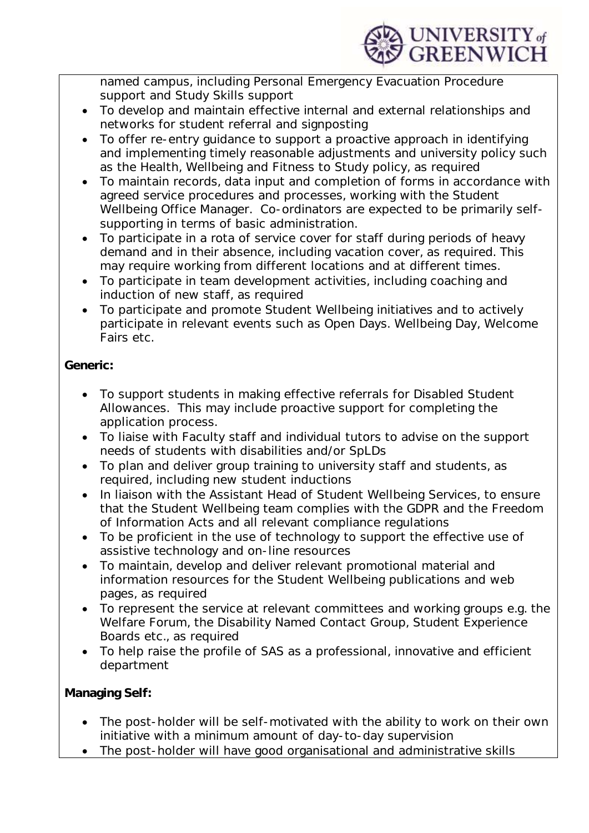

named campus, including Personal Emergency Evacuation Procedure support and Study Skills support

- To develop and maintain effective internal and external relationships and networks for student referral and signposting
- To offer re-entry guidance to support a proactive approach in identifying and implementing timely reasonable adjustments and university policy such as the Health, Wellbeing and Fitness to Study policy, as required
- To maintain records, data input and completion of forms in accordance with agreed service procedures and processes, working with the Student Wellbeing Office Manager. Co-ordinators are expected to be primarily selfsupporting in terms of basic administration.
- To participate in a rota of service cover for staff during periods of heavy demand and in their absence, including vacation cover, as required. This may require working from different locations and at different times.
- To participate in team development activities, including coaching and induction of new staff, as required
- To participate and promote Student Wellbeing initiatives and to actively participate in relevant events such as Open Days. Wellbeing Day, Welcome Fairs etc.

**Generic:**

- To support students in making effective referrals for Disabled Student Allowances. This may include proactive support for completing the application process.
- To liaise with Faculty staff and individual tutors to advise on the support needs of students with disabilities and/or SpLDs
- To plan and deliver group training to university staff and students, as required, including new student inductions
- In liaison with the Assistant Head of Student Wellbeing Services, to ensure that the Student Wellbeing team complies with the GDPR and the Freedom of Information Acts and all relevant compliance regulations
- To be proficient in the use of technology to support the effective use of assistive technology and on-line resources
- To maintain, develop and deliver relevant promotional material and information resources for the Student Wellbeing publications and web pages, as required
- To represent the service at relevant committees and working groups e.g. the Welfare Forum, the Disability Named Contact Group, Student Experience Boards etc., as required
- To help raise the profile of SAS as a professional, innovative and efficient department

**Managing Self:**

- The post-holder will be self-motivated with the ability to work on their own initiative with a minimum amount of day-to-day supervision
- The post-holder will have good organisational and administrative skills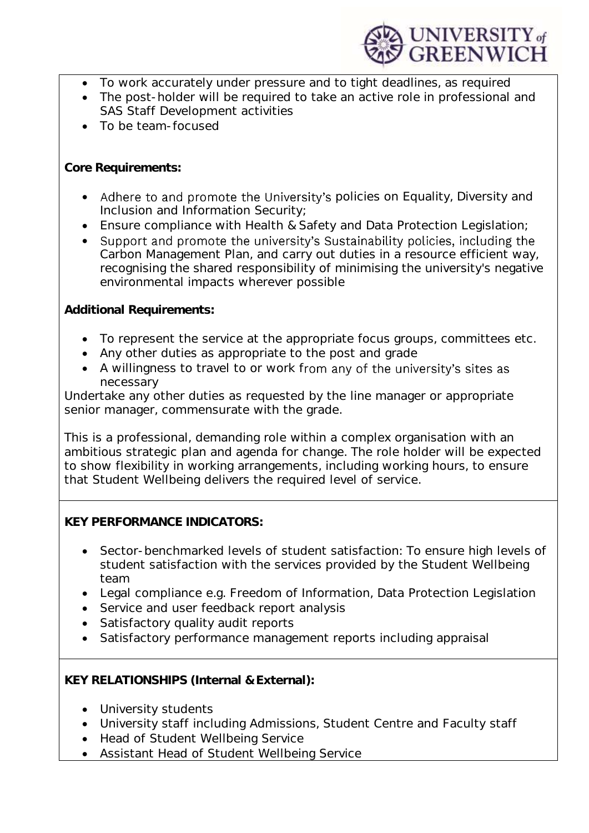

- To work accurately under pressure and to tight deadlines, as required
- The post-holder will be required to take an active role in professional and SAS Staff Development activities
- To be team-focused

**Core Requirements:**

- Adhere to and promote the University's policies on Equality, Diversity and Inclusion and Information Security;
- Ensure compliance with Health & Safety and Data Protection Legislation;
- Support and promote the university's Sustainability policies, including the Carbon Management Plan, and carry out duties in a resource efficient way, recognising the shared responsibility of minimising the university's negative environmental impacts wherever possible

**Additional Requirements:**

- To represent the service at the appropriate focus groups, committees etc.
- Any other duties as appropriate to the post and grade
- A willingness to travel to or work from any of the university's sites as necessary

Undertake any other duties as requested by the line manager or appropriate senior manager, commensurate with the grade.

This is a professional, demanding role within a complex organisation with an ambitious strategic plan and agenda for change. The role holder will be expected to show flexibility in working arrangements, including working hours, to ensure that Student Wellbeing delivers the required level of service.

**KEY PERFORMANCE INDICATORS:**

- Sector-benchmarked levels of student satisfaction: To ensure high levels of student satisfaction with the services provided by the Student Wellbeing team
- Legal compliance e.g. Freedom of Information, Data Protection Legislation
- Service and user feedback report analysis
- Satisfactory quality audit reports
- Satisfactory performance management reports including appraisal

**KEY RELATIONSHIPS (Internal & External):**

- University students
- University staff including Admissions, Student Centre and Faculty staff
- Head of Student Wellbeing Service
- Assistant Head of Student Wellbeing Service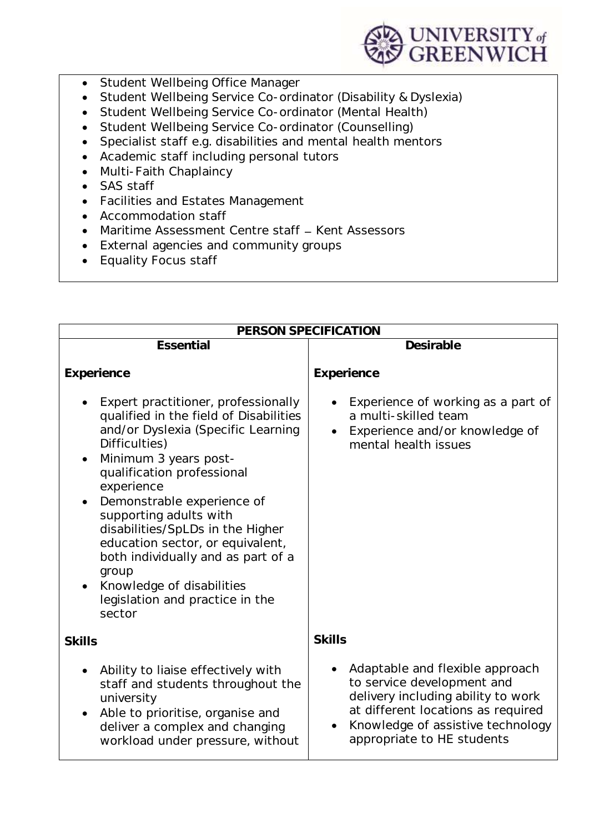

- Student Wellbeing Office Manager
- Student Wellbeing Service Co-ordinator (Disability & Dyslexia)
- Student Wellbeing Service Co-ordinator (Mental Health)
- Student Wellbeing Service Co-ordinator (Counselling)
- Specialist staff e.g. disabilities and mental health mentors
- Academic staff including personal tutors
- Multi-Faith Chaplaincy
- SAS staff
- Facilities and Estates Management
- Accommodation staff
- Maritime Assessment Centre staff Kent Assessors
- External agencies and community groups
- Equality Focus staff

| PERSON SPECIFICATION                                                                                                                                                                                                                                                                                                                                                                                                                                                            |                                                                                                                                                                                                              |  |
|---------------------------------------------------------------------------------------------------------------------------------------------------------------------------------------------------------------------------------------------------------------------------------------------------------------------------------------------------------------------------------------------------------------------------------------------------------------------------------|--------------------------------------------------------------------------------------------------------------------------------------------------------------------------------------------------------------|--|
| Essential                                                                                                                                                                                                                                                                                                                                                                                                                                                                       | Desirable                                                                                                                                                                                                    |  |
| Experience                                                                                                                                                                                                                                                                                                                                                                                                                                                                      | Experience                                                                                                                                                                                                   |  |
| Expert practitioner, professionally<br>qualified in the field of Disabilities<br>and/or Dyslexia (Specific Learning<br>Difficulties)<br>Minimum 3 years post-<br>$\bullet$<br>qualification professional<br>experience<br>Demonstrable experience of<br>supporting adults with<br>disabilities/SpLDs in the Higher<br>education sector, or equivalent,<br>both individually and as part of a<br>group<br>Knowledge of disabilities<br>legislation and practice in the<br>sector | Experience of working as a part of<br>a multi-skilled team<br>Experience and/or knowledge of<br>mental health issues                                                                                         |  |
| <b>Skills</b>                                                                                                                                                                                                                                                                                                                                                                                                                                                                   | <b>Skills</b>                                                                                                                                                                                                |  |
| Ability to liaise effectively with<br>staff and students throughout the<br>university<br>Able to prioritise, organise and<br>deliver a complex and changing<br>workload under pressure, without                                                                                                                                                                                                                                                                                 | Adaptable and flexible approach<br>to service development and<br>delivery including ability to work<br>at different locations as required<br>Knowledge of assistive technology<br>appropriate to HE students |  |